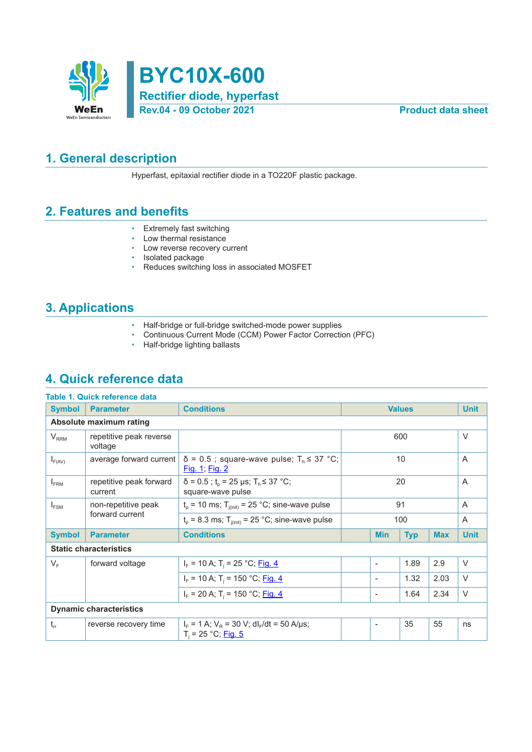



### **1. General description**

Hyperfast, epitaxial rectifier diode in a TO220F plastic package.

### **2. Features and benefits**

- Extremely fast switching
- Low thermal resistance
- Low reverse recovery current
- Isolated package
- Reduces switching loss in associated MOSFET

### **3. Applications**

- Half-bridge or full-bridge switched-mode power supplies
- Continuous Current Mode (CCM) Power Factor Correction (PFC)<br>• Half-bridge lighting ballasts
- Half-bridge lighting ballasts

### **4. Quick reference data**

|                  | Table 1. Quick reference data      |                                                                                          |                                        |                          |      |                |                |
|------------------|------------------------------------|------------------------------------------------------------------------------------------|----------------------------------------|--------------------------|------|----------------|----------------|
| <b>Symbol</b>    | <b>Parameter</b>                   | <b>Conditions</b>                                                                        |                                        | <b>Values</b>            |      |                | <b>Unit</b>    |
|                  | Absolute maximum rating            |                                                                                          |                                        |                          |      |                |                |
| $V_{RRM}$        | repetitive peak reverse<br>voltage |                                                                                          |                                        | 600                      |      |                |                |
| $I_{F(AV)}$      | average forward current            | $\delta$ = 0.5; square-wave pulse; T <sub>h</sub> $\leq$ 37 °C;<br><u>Fig. 1; Fig. 2</u> | 10                                     |                          |      |                | $\overline{A}$ |
| $I_{\text{FRM}}$ | repetitive peak forward<br>current | $\delta$ = 0.5 ; t <sub>p</sub> = 25 µs; T <sub>h</sub> ≤ 37 °C;<br>square-wave pulse    | 20                                     |                          |      |                | A              |
| $I_{FSM}$        | non-repetitive peak                | $t_p$ = 10 ms; $T_{j(int)}$ = 25 °C; sine-wave pulse                                     | 91                                     |                          |      | $\overline{A}$ |                |
|                  | forward current                    | $t_0$ = 8.3 ms; $T_{i(init)}$ = 25 °C; sine-wave pulse                                   | 100                                    |                          |      | $\overline{A}$ |                |
| <b>Symbol</b>    | <b>Parameter</b>                   | <b>Conditions</b>                                                                        | <b>Max</b><br><b>Min</b><br><b>Typ</b> |                          |      | <b>Unit</b>    |                |
|                  | <b>Static characteristics</b>      |                                                                                          |                                        |                          |      |                |                |
| $V_F$            | forward voltage                    | $I_F$ = 10 A; T <sub>i</sub> = 25 °C; Fig. 4                                             |                                        | $\overline{\phantom{a}}$ | 1.89 | 2.9            | $\vee$         |
|                  |                                    | $I_F$ = 10 A; T <sub>i</sub> = 150 °C; Fig. 4                                            |                                        | $\overline{\phantom{a}}$ | 1.32 | 2.03           | $\vee$         |
|                  |                                    | $I_F$ = 20 A; T <sub>i</sub> = 150 °C; Fig. 4                                            |                                        | $\overline{\phantom{a}}$ | 1.64 | 2.34           | $\vee$         |
|                  | <b>Dynamic characteristics</b>     |                                                                                          |                                        |                          |      |                |                |
| $t_{rr}$         | reverse recovery time              | $I_F = 1$ A; $V_R = 30$ V; dl <sub>F</sub> /dt = 50 A/µs;<br>$T_i = 25 °C;$ Fig. 5       |                                        |                          | 35   | 55             | ns             |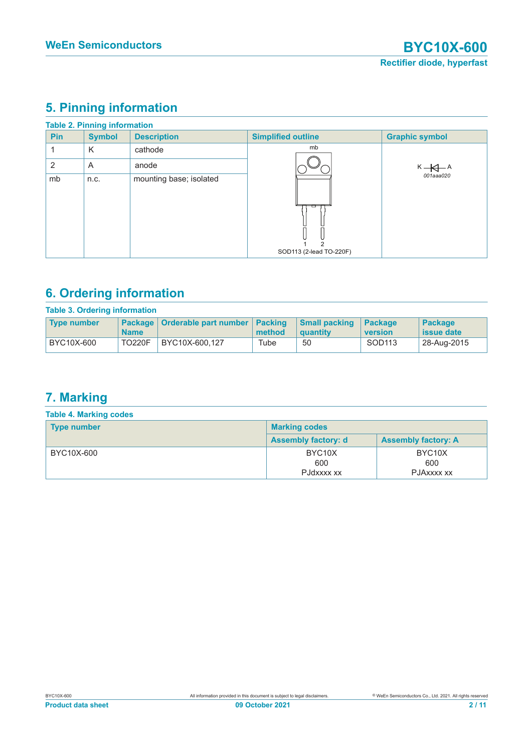# **5. Pinning information**

|            | <b>Table 2. Pinning information</b> |                         |                           |                               |
|------------|-------------------------------------|-------------------------|---------------------------|-------------------------------|
| <b>Pin</b> | <b>Symbol</b>                       | <b>Description</b>      | <b>Simplified outline</b> | <b>Graphic symbol</b>         |
|            | K                                   | cathode                 | mb                        |                               |
| 2          | A                                   | anode                   |                           | $K \leftarrow A \leftarrow A$ |
| mb         | n.c.                                | mounting base; isolated | SOD113 (2-lead TO-220F)   | 001aaa020                     |

# **6. Ordering information**

| <b>Table 3. Ordering information</b> |               |                                           |        |                                  |                    |                             |
|--------------------------------------|---------------|-------------------------------------------|--------|----------------------------------|--------------------|-----------------------------|
| <b>Type number</b>                   | <b>Name</b>   | Package   Orderable part number   Packing | method | <b>Small packing</b><br>quantity | Package<br>version | <b>Package</b><br>ssue date |
| BYC10X-600                           | <b>TO220F</b> | BYC10X-600.127                            | Tube   | 50                               | SOD113             | 28-Aug-2015                 |

## **7. Marking**

| <b>Table 4. Marking codes</b> |                                          |                                          |  |  |
|-------------------------------|------------------------------------------|------------------------------------------|--|--|
| <b>Type number</b>            | <b>Marking codes</b>                     |                                          |  |  |
|                               | <b>Assembly factory: d</b>               | <b>Assembly factory: A</b>               |  |  |
| BYC10X-600                    | BYC <sub>10</sub> X<br>600<br>PJdxxxx xx | BYC <sub>10</sub> X<br>600<br>PJAXXXX XX |  |  |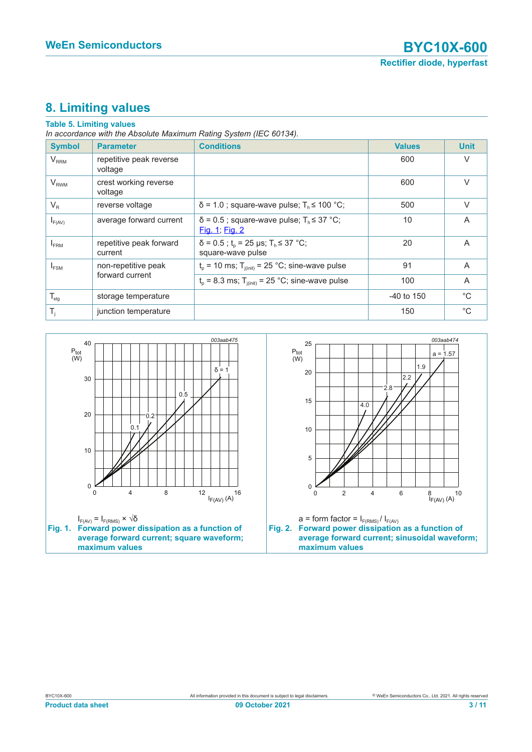# **8. Limiting values**

#### **Table 5. Limiting values**

*In accordance with the Absolute Maximum Rating System (IEC 60134).*

| <b>Symbol</b>    | <b>Parameter</b>                   | <b>Conditions</b>                                                                     | <b>Values</b> | <b>Unit</b>  |
|------------------|------------------------------------|---------------------------------------------------------------------------------------|---------------|--------------|
| $V_{RRM}$        | repetitive peak reverse<br>voltage |                                                                                       | 600           | $\vee$       |
| $V_{RWM}$        | crest working reverse<br>voltage   |                                                                                       | 600           | $\vee$       |
| $V_R$            | reverse voltage                    | $\delta$ = 1.0; square-wave pulse; $T_h \le 100$ °C;                                  | 500           | $\vee$       |
| $I_{F(AV)}$      | average forward current            | $\delta$ = 0.5; square-wave pulse; $T_h \leq 37$ °C;<br>Fig. 1; Fig. 2                | 10            | A            |
| <b>FRM</b>       | repetitive peak forward<br>current | $\delta$ = 0.5 ; t <sub>p</sub> = 25 µs; T <sub>h</sub> ≤ 37 °C;<br>square-wave pulse | 20            | A            |
| $I_{FSM}$        | non-repetitive peak                | $t_p$ = 10 ms; $T_{j(int)}$ = 25 °C; sine-wave pulse                                  | 91            | A            |
|                  | forward current                    | $t_p$ = 8.3 ms; T <sub>i(init)</sub> = 25 °C; sine-wave pulse                         | 100           | A            |
| $T_{\text{stg}}$ | storage temperature                |                                                                                       | $-40$ to 150  | $^{\circ}$ C |
| $T_i$            | junction temperature               |                                                                                       | 150           | $^{\circ}$ C |

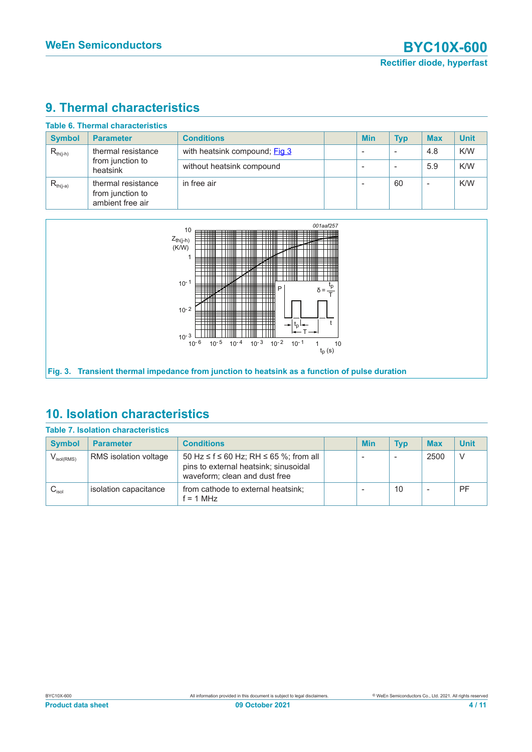# **9. Thermal characteristics**

|                                                                     | <b>Table 6. Thermal characteristics</b>                    |                   |                          |            |                          |             |
|---------------------------------------------------------------------|------------------------------------------------------------|-------------------|--------------------------|------------|--------------------------|-------------|
| <b>Symbol</b>                                                       | <b>Parameter</b>                                           | <b>Conditions</b> | <b>Min</b>               | <b>Typ</b> | <b>Max</b>               | <b>Unit</b> |
| thermal resistance<br>$R_{th(j-h)}$<br>from junction to<br>heatsink | with heatsink compound; Fig 3                              |                   |                          | 4.8        | K/W                      |             |
|                                                                     | without heatsink compound                                  |                   |                          | 5.9        | K/W                      |             |
| $R_{th(i-a)}$                                                       | thermal resistance<br>from junction to<br>ambient free air | in free air       | $\overline{\phantom{a}}$ | 60         | $\overline{\phantom{a}}$ | K/W         |



### **10. Isolation characteristics**

|                        | <b>Table 7. Isolation characteristics</b> |                                                                                                                  |     |            |                          |             |
|------------------------|-------------------------------------------|------------------------------------------------------------------------------------------------------------------|-----|------------|--------------------------|-------------|
| <b>Symbol</b>          | <b>Parameter</b>                          | <b>Conditions</b>                                                                                                | Min | <b>Typ</b> | <b>Max</b>               | <b>Unit</b> |
| $V_{\text{isol(RMS)}}$ | RMS isolation voltage                     | 50 Hz ≤ f ≤ 60 Hz; RH ≤ 65 %; from all<br>pins to external heatsink; sinusoidal<br>waveform; clean and dust free |     |            | 2500                     | -V          |
| $C_{\text{isol}}$      | isolation capacitance                     | from cathode to external heatsink;<br>$f = 1$ MHz                                                                |     | 10         | $\overline{\phantom{a}}$ | <b>PF</b>   |

#### BYC10X-600 **Product data sheet**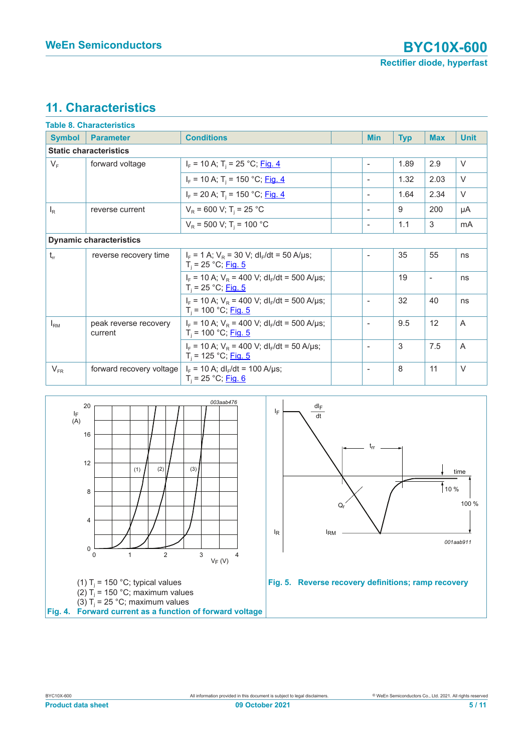# **11. Characteristics**

|               | Table 8. Characteristics         |                                                                                        |                          |            |                          |                |
|---------------|----------------------------------|----------------------------------------------------------------------------------------|--------------------------|------------|--------------------------|----------------|
| <b>Symbol</b> | <b>Parameter</b>                 | <b>Conditions</b>                                                                      | <b>Min</b>               | <b>Typ</b> | <b>Max</b>               | <b>Unit</b>    |
|               | <b>Static characteristics</b>    |                                                                                        |                          |            |                          |                |
| $V_F$         | forward voltage                  | $I_F$ = 10 A; T <sub>i</sub> = 25 °C; Fig. 4                                           | $\overline{\phantom{a}}$ | 1.89       | 2.9                      | $\vee$         |
|               |                                  | $I_F$ = 10 A; T <sub>i</sub> = 150 °C; Fig. 4                                          | $\overline{\phantom{a}}$ | 1.32       | 2.03                     | $\vee$         |
|               |                                  | $I_F$ = 20 A; T <sub>i</sub> = 150 °C; Fig. 4                                          | $\overline{\phantom{a}}$ | 1.64       | 2.34                     | $\vee$         |
| $I_R$         | reverse current                  | $V_R$ = 600 V; T <sub>i</sub> = 25 °C                                                  | $\overline{\phantom{a}}$ | 9          | 200                      | μA             |
|               |                                  | $V_R$ = 500 V; T <sub>i</sub> = 100 °C                                                 | $\overline{\phantom{a}}$ | 1.1        | 3                        | mA             |
|               | <b>Dynamic characteristics</b>   |                                                                                        |                          |            |                          |                |
| $t_{rr}$      | reverse recovery time            | $I_F = 1$ A; $V_R = 30$ V; dl <sub>F</sub> /dt = 50 A/µs;<br>$T_i = 25 °C;$ Fig. 5     | $\overline{\phantom{a}}$ | 35         | 55                       | ns             |
|               |                                  | $I_F$ = 10 A; $V_R$ = 400 V; dl <sub>F</sub> /dt = 500 A/µs;<br>$T_i = 25 °C;$ Fig. 5  |                          | 19         | $\overline{\phantom{a}}$ | ns             |
|               |                                  | $I_F$ = 10 A; $V_R$ = 400 V; dl <sub>F</sub> /dt = 500 A/µs;<br>$T_i = 100 °C;$ Fig. 5 | $\overline{\phantom{a}}$ | 32         | 40                       | ns             |
| $I_{\rm RM}$  | peak reverse recovery<br>current | $I_F$ = 10 A; $V_R$ = 400 V; dl <sub>F</sub> /dt = 500 A/µs;<br>$T_i = 100 °C;$ Fig. 5 | $\overline{\phantom{a}}$ | 9.5        | 12                       | $\overline{A}$ |
|               |                                  | $I_F$ = 10 A; $V_R$ = 400 V; dl <sub>F</sub> /dt = 50 A/µs;<br>$T_i = 125 °C;$ Fig. 5  | $\overline{\phantom{a}}$ | 3          | 7.5                      | A              |
| $V_{FR}$      | forward recovery voltage         | $I_F$ = 10 A; dl <sub>F</sub> /dt = 100 A/µs;<br>$T_i = 25 °C;$ Fig. 6                 | $\overline{\phantom{a}}$ | 8          | 11                       | $\vee$         |

<span id="page-4-0"></span>

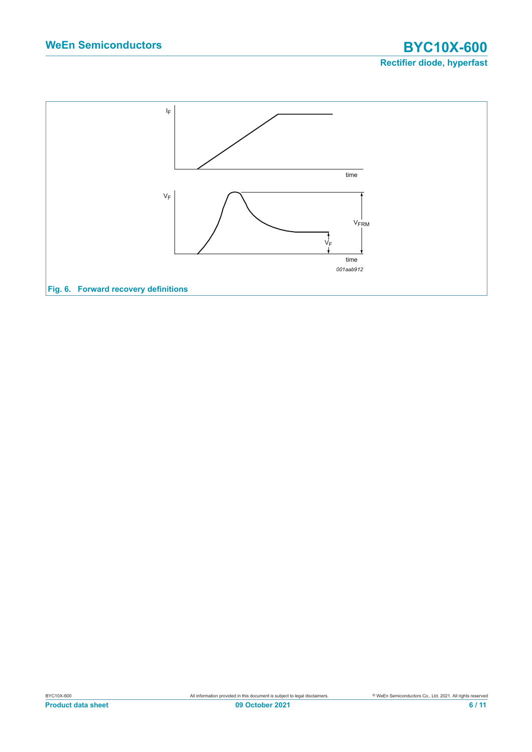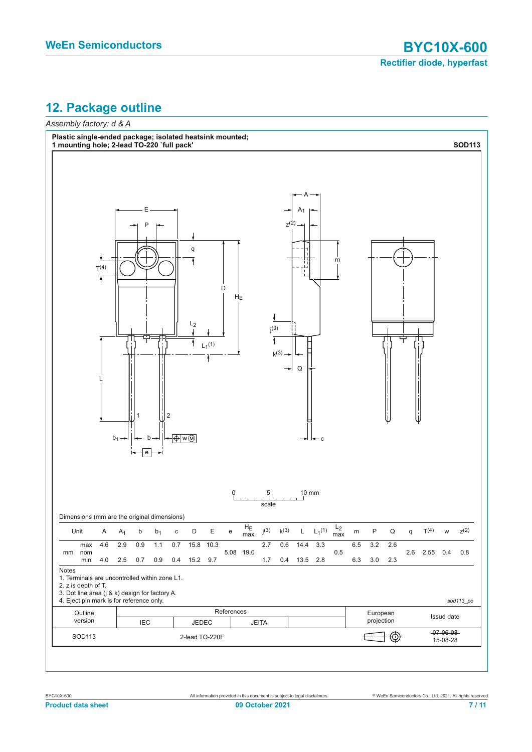# **12. Package outline**

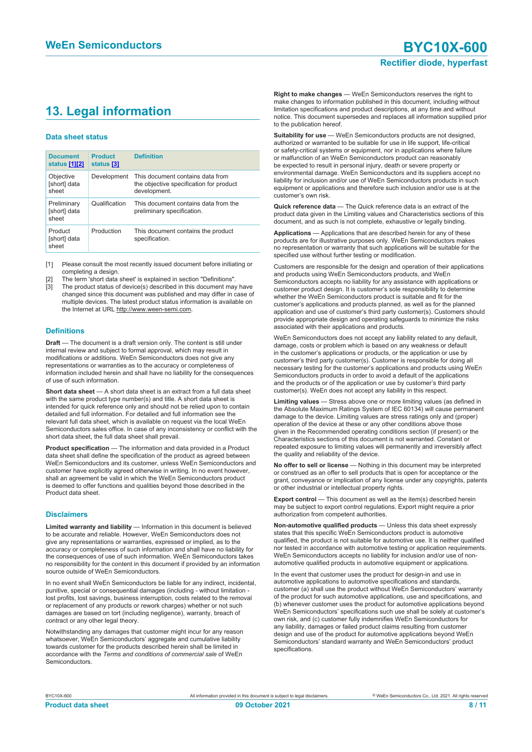# **13. Legal information**

#### **Data sheet status**

| <b>Document</b><br>status [1][2]     | <b>Product</b><br>status [3] | <b>Definition</b>                                                                           |
|--------------------------------------|------------------------------|---------------------------------------------------------------------------------------------|
| Objective<br>[short] data<br>sheet   | Development                  | This document contains data from<br>the objective specification for product<br>development. |
| Preliminary<br>[short] data<br>sheet | Qualification                | This document contains data from the<br>preliminary specification.                          |
| Product<br>[short] data<br>sheet     | Production                   | This document contains the product<br>specification.                                        |

[1] Please consult the most recently issued document before initiating or completing a design.

- [2] The term 'short data sheet' is explained in section "Definitions".
- [3] The product status of device(s) described in this document may have changed since this document was published and may differ in case of multiple devices. The latest product status information is available on the Internet at URL http://www.ween-semi.com.

#### **Definitions**

**Draft** — The document is a draft version only. The content is still under internal review and subject to formal approval, which may result in modifications or additions. WeEn Semiconductors does not give any representations or warranties as to the accuracy or completeness of information included herein and shall have no liability for the consequences of use of such information.

**Short data sheet** — A short data sheet is an extract from a full data sheet with the same product type number(s) and title. A short data sheet is intended for quick reference only and should not be relied upon to contain detailed and full information. For detailed and full information see the relevant full data sheet, which is available on request via the local WeEn Semiconductors sales office. In case of any inconsistency or conflict with the short data sheet, the full data sheet shall prevail.

**Product specification** — The information and data provided in a Product data sheet shall define the specification of the product as agreed between WeEn Semiconductors and its customer, unless WeEn Semiconductors and customer have explicitly agreed otherwise in writing. In no event however, shall an agreement be valid in which the WeEn Semiconductors product is deemed to offer functions and qualities beyond those described in the Product data sheet.

#### **Disclaimers**

**Limited warranty and liability** — Information in this document is believed to be accurate and reliable. However, WeEn Semiconductors does not give any representations or warranties, expressed or implied, as to the accuracy or completeness of such information and shall have no liability for the consequences of use of such information. WeEn Semiconductors takes no responsibility for the content in this document if provided by an information source outside of WeEn Semiconductors.

In no event shall WeEn Semiconductors be liable for any indirect, incidental, punitive, special or consequential damages (including - without limitation lost profits, lost savings, business interruption, costs related to the removal or replacement of any products or rework charges) whether or not such damages are based on tort (including negligence), warranty, breach of contract or any other legal theory.

Notwithstanding any damages that customer might incur for any reason whatsoever, WeEn Semiconductors' aggregate and cumulative liability towards customer for the products described herein shall be limited in accordance with the *Terms and conditions of commercial sale* of WeEn Semiconductors.

**Right to make changes** — WeEn Semiconductors reserves the right to make changes to information published in this document, including without limitation specifications and product descriptions, at any time and without notice. This document supersedes and replaces all information supplied prior to the publication hereof.

**Suitability for use** — WeEn Semiconductors products are not designed, authorized or warranted to be suitable for use in life support, life-critical or safety-critical systems or equipment, nor in applications where failure or malfunction of an WeEn Semiconductors product can reasonably be expected to result in personal injury, death or severe property or environmental damage. WeEn Semiconductors and its suppliers accept no liability for inclusion and/or use of WeEn Semiconductors products in such equipment or applications and therefore such inclusion and/or use is at the customer's own risk.

**Quick reference data** — The Quick reference data is an extract of the product data given in the Limiting values and Characteristics sections of this document, and as such is not complete, exhaustive or legally binding.

**Applications** — Applications that are described herein for any of these products are for illustrative purposes only. WeEn Semiconductors makes no representation or warranty that such applications will be suitable for the specified use without further testing or modification.

Customers are responsible for the design and operation of their applications and products using WeEn Semiconductors products, and WeEn Semiconductors accepts no liability for any assistance with applications or customer product design. It is customer's sole responsibility to determine whether the WeEn Semiconductors product is suitable and fit for the customer's applications and products planned, as well as for the planned application and use of customer's third party customer(s). Customers should provide appropriate design and operating safeguards to minimize the risks associated with their applications and products.

WeEn Semiconductors does not accept any liability related to any default, damage, costs or problem which is based on any weakness or default in the customer's applications or products, or the application or use by customer's third party customer(s). Customer is responsible for doing all necessary testing for the customer's applications and products using WeEn Semiconductors products in order to avoid a default of the applications and the products or of the application or use by customer's third party customer(s). WeEn does not accept any liability in this respect.

**Limiting values** — Stress above one or more limiting values (as defined in the Absolute Maximum Ratings System of IEC 60134) will cause permanent damage to the device. Limiting values are stress ratings only and (proper) operation of the device at these or any other conditions above those given in the Recommended operating conditions section (if present) or the Characteristics sections of this document is not warranted. Constant or repeated exposure to limiting values will permanently and irreversibly affect the quality and reliability of the device.

**No offer to sell or license** — Nothing in this document may be interpreted or construed as an offer to sell products that is open for acceptance or the grant, conveyance or implication of any license under any copyrights, patents or other industrial or intellectual property rights.

**Export control** — This document as well as the item(s) described herein may be subject to export control regulations. Export might require a prior authorization from competent authorities.

**Non-automotive qualified products** — Unless this data sheet expressly states that this specific WeEn Semiconductors product is automotive qualified, the product is not suitable for automotive use. It is neither qualified nor tested in accordance with automotive testing or application requirements. WeEn Semiconductors accepts no liability for inclusion and/or use of nonautomotive qualified products in automotive equipment or applications.

In the event that customer uses the product for design-in and use in automotive applications to automotive specifications and standards, customer (a) shall use the product without WeEn Semiconductors' warranty of the product for such automotive applications, use and specifications, and (b) whenever customer uses the product for automotive applications beyond WeEn Semiconductors' specifications such use shall be solely at customer's own risk, and (c) customer fully indemnifies WeEn Semiconductors for any liability, damages or failed product claims resulting from customer design and use of the product for automotive applications beyond WeEn Semiconductors' standard warranty and WeEn Semiconductors' product specifications.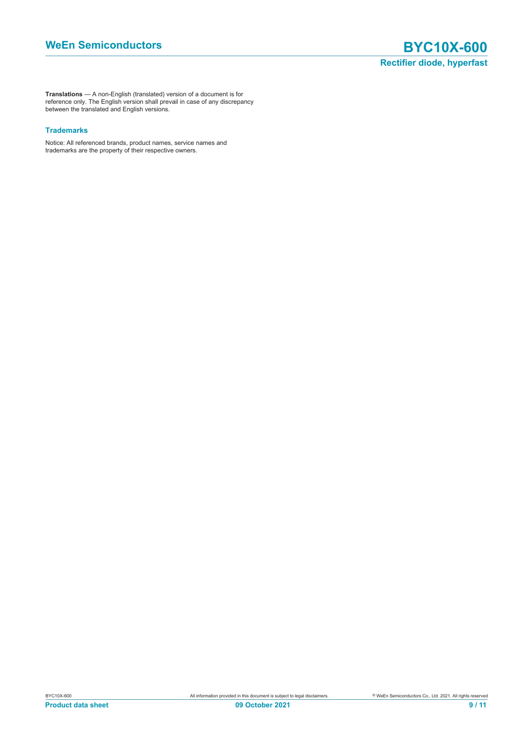**Translations** — A non-English (translated) version of a document is for reference only. The English version shall prevail in case of any discrepancy between the translated and English versions.

#### **Trademarks**

Notice: All referenced brands, product names, service names and trademarks are the property of their respective owners.